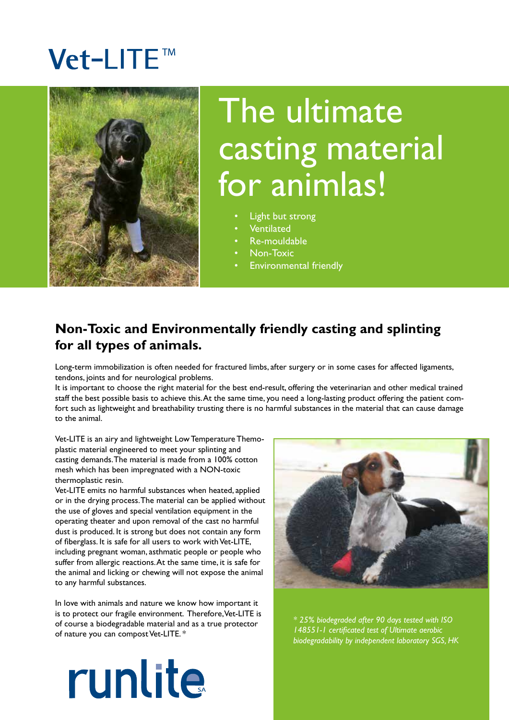# Vet-LITE™



# The ultimate casting material for animlas!

- Light but strong
- Ventilated
- Re-mouldable
- Non-Toxic
- Environmental friendly

### **Non-Toxic and Environmentally friendly casting and splinting for all types of animals.**

Long-term immobilization is often needed for fractured limbs, after surgery or in some cases for affected ligaments, tendons, joints and for neurological problems.

It is important to choose the right material for the best end-result, offering the veterinarian and other medical trained staff the best possible basis to achieve this. At the same time, you need a long-lasting product offering the patient comfort such as lightweight and breathability trusting there is no harmful substances in the material that can cause damage to the animal.

Vet-LITE is an airy and lightweight Low Temperature Themoplastic material engineered to meet your splinting and casting demands. The material is made from a 100% cotton mesh which has been impregnated with a NON-toxic thermoplastic resin.

Vet-LITE emits no harmful substances when heated, applied or in the drying process. The material can be applied without the use of gloves and special ventilation equipment in the operating theater and upon removal of the cast no harmful dust is produced. It is strong but does not contain any form of fiberglass. It is safe for all users to work with Vet-LITE, including pregnant woman, asthmatic people or people who suffer from allergic reactions. At the same time, it is safe for the animal and licking or chewing will not expose the animal to any harmful substances.

In love with animals and nature we know how important it is to protect our fragile environment. Therefore, Vet-LITE is of course a biodegradable material and as a true protector of nature you can compost Vet-LITE. \*



*\* 25% biodegraded after 90 days tested with ISO 148551-1 certificated test of Ultimate aerobic biodegradability by independent laboratory SGS, HK*

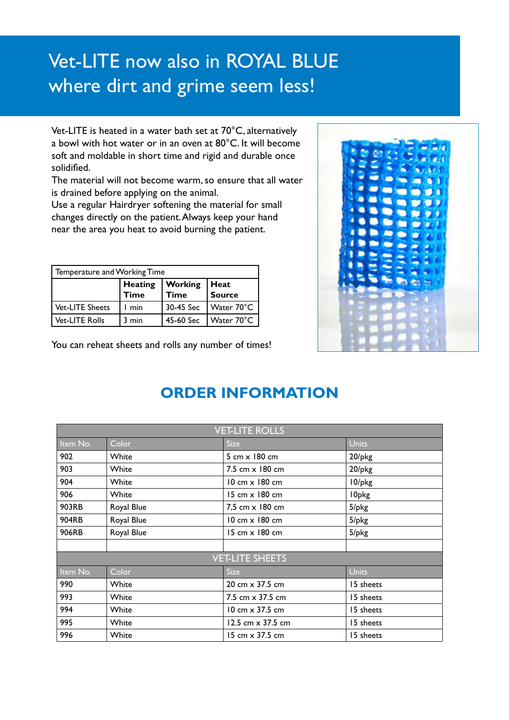# Vet-LITE now also in ROYAL BLUE where dirt and grime seem less!

Vet-LITE is heated in a water bath set at 70°C, alternatively a bowl with hot water or in an oven at 80°C. It will become soft and moldable in short time and rigid and durable once solidified.

The material will not become warm, so ensure that all water is drained before applying on the animal.

Use a regular Hairdryer softening the material for small changes directly on the patient. Always keep your hand near the area you heat to avoid burning the patient.

| Temperature and Working Time |                               |                          |                       |  |
|------------------------------|-------------------------------|--------------------------|-----------------------|--|
|                              | <b>Heating</b><br><b>Time</b> | <b>Working</b><br>l Time | Heat<br><b>Source</b> |  |
| Vet-LITE Sheets              | min                           | 30-45 Sec                | Water 70°C            |  |
| <b>Vet-LITE Rolls</b>        | $3 \text{ min}$               | 45-60 Sec                | Water 70°C            |  |

You can reheat sheets and rolls any number of times!



### **ORDER INFORMATION**

| <b>VET-LITE ROLLS</b>  |            |                                        |             |  |  |
|------------------------|------------|----------------------------------------|-------------|--|--|
| Item No.               | Color      | <b>Size</b>                            | Units       |  |  |
| 902                    | White      | 5 cm x 180 cm                          | 20/pkg      |  |  |
| 903                    | White      | 7.5 cm x 180 cm                        | 20/pkg      |  |  |
| 904                    | White      | $10 \text{ cm} \times 180 \text{ cm}$  | 10/pkg      |  |  |
| 906                    | White      | 15 cm x 180 cm                         | I0pkg       |  |  |
| 903RB                  | Royal Blue | 7,5 cm x 180 cm                        | $5$ /p $kg$ |  |  |
| <b>904RB</b>           | Royal Blue | 10 cm x 180 cm                         | $5$ /p $kg$ |  |  |
| 906RB                  | Royal Blue | 15 cm x 180 cm                         | $5$ /p $kg$ |  |  |
|                        |            |                                        |             |  |  |
| <b>VET-LITE SHEETS</b> |            |                                        |             |  |  |
| Item No.               | Color      | <b>Size</b>                            | Units       |  |  |
| 990                    | White      | 20 cm $\times$ 37.5 cm                 | 15 sheets   |  |  |
| 993                    | White      | 7.5 cm $\times$ 37.5 cm                | 15 sheets   |  |  |
| 994                    | White      | $10 \text{ cm} \times 37.5 \text{ cm}$ | 15 sheets   |  |  |
| 995                    | White      | 12.5 cm $\times$ 37.5 cm               | 15 sheets   |  |  |
| 996                    | White      | $15 \text{ cm} \times 37.5 \text{ cm}$ | 15 sheets   |  |  |